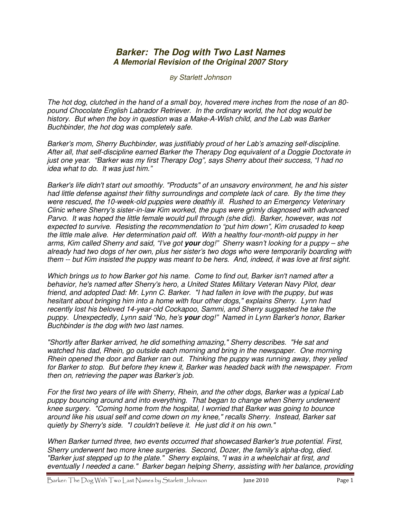## **Barker: The Dog with Two Last Names A Memorial Revision of the Original 2007 Story**

By Starlett Johnson

The hot dog, clutched in the hand of a small boy, hovered mere inches from the nose of an 80 pound Chocolate English Labrador Retriever. In the ordinary world, the hot dog would be history. But when the boy in question was a Make-A-Wish child, and the Lab was Barker Buchbinder, the hot dog was completely safe.

Barker's mom, Sherry Buchbinder, was justifiably proud of her Lab's amazing self-discipline. After all, that self-discipline earned Barker the Therapy Dog equivalent of a Doggie Doctorate in just one year. "Barker was my first Therapy Dog", says Sherry about their success, "I had no idea what to do. It was just him."

Barker's life didn't start out smoothly. "Products" of an unsavory environment, he and his sister had little defense against their filthy surroundings and complete lack of care. By the time they were rescued, the 10-week-old puppies were deathly ill. Rushed to an Emergency Veterinary Clinic where Sherry's sister-in-law Kim worked, the pups were grimly diagnosed with advanced Parvo. It was hoped the little female would pull through (she did). Barker, however, was not expected to survive. Resisting the recommendation to "put him down", Kim crusaded to keep the little male alive. Her determination paid off. With a healthy four-month-old puppy in her arms, Kim called Sherry and said, "I've got **your** dog!" Sherry wasn't looking for a puppy – she already had two dogs of her own, plus her sister's two dogs who were temporarily boarding with them -- but Kim insisted the puppy was meant to be hers. And, indeed, it was love at first sight.

Which brings us to how Barker got his name. Come to find out, Barker isn't named after a behavior, he's named after Sherry's hero, a United States Military Veteran Navy Pilot, dear friend, and adopted Dad: Mr. Lynn C. Barker. "I had fallen in love with the puppy, but was hesitant about bringing him into a home with four other dogs," explains Sherry. Lynn had recently lost his beloved 14-year-old Cockapoo, Sammi, and Sherry suggested he take the puppy. Unexpectedly, Lynn said "No, he's **your** dog!" Named in Lynn Barker's honor, Barker Buchbinder is the dog with two last names.

"Shortly after Barker arrived, he did something amazing," Sherry describes. "He sat and watched his dad, Rhein, go outside each morning and bring in the newspaper. One morning Rhein opened the door and Barker ran out. Thinking the puppy was running away, they yelled for Barker to stop. But before they knew it, Barker was headed back with the newspaper. From then on, retrieving the paper was Barker's job.

For the first two years of life with Sherry, Rhein, and the other dogs, Barker was a typical Lab puppy bouncing around and into everything. That began to change when Sherry underwent knee surgery. "Coming home from the hospital, I worried that Barker was going to bounce around like his usual self and come down on my knee," recalls Sherry. Instead, Barker sat quietly by Sherry's side. "I couldn't believe it. He just did it on his own." Ĵ

When Barker turned three, two events occurred that showcased Barker's true potential. First, Sherry underwent two more knee surgeries. Second, Dozer, the family's alpha-dog, died. "Barker just stepped up to the plate." Sherry explains, "I was in a wheelchair at first, and eventually I needed a cane." Barker began helping Sherry, assisting with her balance, providing